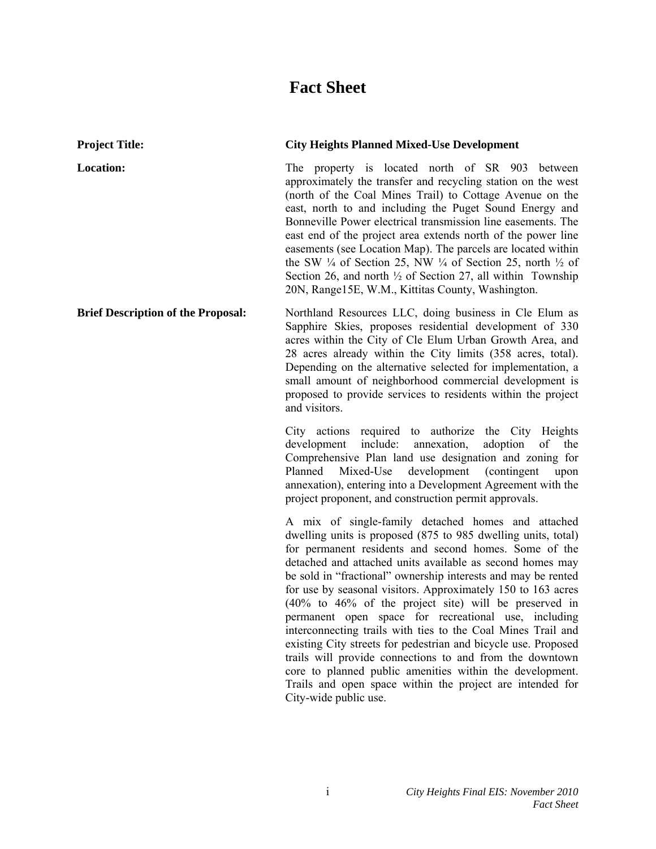# **Fact Sheet**

| <b>Project Title:</b>                     | <b>City Heights Planned Mixed-Use Development</b>                                                                                                                                                                                                                                                                                                                                                                                                                                                                                                                                                                                                                                                                                                                                                                                                 |
|-------------------------------------------|---------------------------------------------------------------------------------------------------------------------------------------------------------------------------------------------------------------------------------------------------------------------------------------------------------------------------------------------------------------------------------------------------------------------------------------------------------------------------------------------------------------------------------------------------------------------------------------------------------------------------------------------------------------------------------------------------------------------------------------------------------------------------------------------------------------------------------------------------|
| Location:                                 | The property is located north of SR 903 between<br>approximately the transfer and recycling station on the west<br>(north of the Coal Mines Trail) to Cottage Avenue on the<br>east, north to and including the Puget Sound Energy and<br>Bonneville Power electrical transmission line easements. The<br>east end of the project area extends north of the power line<br>easements (see Location Map). The parcels are located within<br>the SW $\frac{1}{4}$ of Section 25, NW $\frac{1}{4}$ of Section 25, north $\frac{1}{2}$ of<br>Section 26, and north $\frac{1}{2}$ of Section 27, all within Township<br>20N, Range15E, W.M., Kittitas County, Washington.                                                                                                                                                                               |
| <b>Brief Description of the Proposal:</b> | Northland Resources LLC, doing business in Cle Elum as<br>Sapphire Skies, proposes residential development of 330<br>acres within the City of Cle Elum Urban Growth Area, and<br>28 acres already within the City limits (358 acres, total).<br>Depending on the alternative selected for implementation, a<br>small amount of neighborhood commercial development is<br>proposed to provide services to residents within the project<br>and visitors.                                                                                                                                                                                                                                                                                                                                                                                            |
|                                           | City actions required to authorize the City Heights<br>include:<br>annexation,<br>adoption<br>of<br>development<br>the<br>Comprehensive Plan land use designation and zoning for<br>Planned<br>Mixed-Use<br>development<br>(contingent)<br>upon<br>annexation), entering into a Development Agreement with the<br>project proponent, and construction permit approvals.                                                                                                                                                                                                                                                                                                                                                                                                                                                                           |
|                                           | A mix of single-family detached homes and attached<br>dwelling units is proposed (875 to 985 dwelling units, total)<br>for permanent residents and second homes. Some of the<br>detached and attached units available as second homes may<br>be sold in "fractional" ownership interests and may be rented<br>for use by seasonal visitors. Approximately 150 to 163 acres<br>$(40\%$ to $46\%$ of the project site) will be preserved in<br>permanent open space for recreational use, including<br>interconnecting trails with ties to the Coal Mines Trail and<br>existing City streets for pedestrian and bicycle use. Proposed<br>trails will provide connections to and from the downtown<br>core to planned public amenities within the development.<br>Trails and open space within the project are intended for<br>City-wide public use. |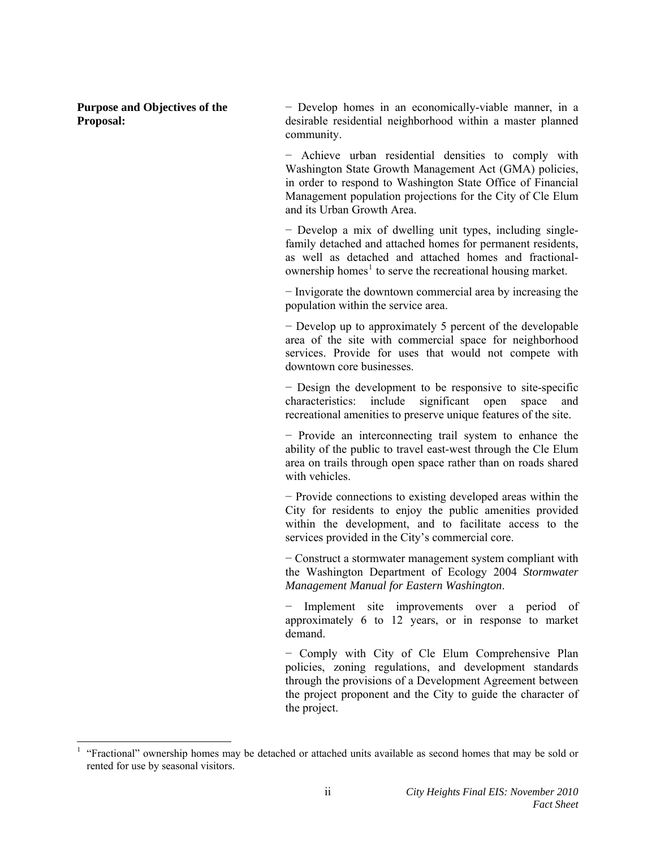**Purpose and Objectives of the Proposal:** 

-

− Develop homes in an economically-viable manner, in a desirable residential neighborhood within a master planned community.

− Achieve urban residential densities to comply with Washington State Growth Management Act (GMA) policies, in order to respond to Washington State Office of Financial Management population projections for the City of Cle Elum and its Urban Growth Area.

− Develop a mix of dwelling unit types, including singlefamily detached and attached homes for permanent residents, as well as detached and attached homes and fractional-ownership homes<sup>[1](#page-1-0)</sup> to serve the recreational housing market.

− Invigorate the downtown commercial area by increasing the population within the service area.

− Develop up to approximately 5 percent of the developable area of the site with commercial space for neighborhood services. Provide for uses that would not compete with downtown core businesses.

− Design the development to be responsive to site-specific characteristics: include significant open space and recreational amenities to preserve unique features of the site.

− Provide an interconnecting trail system to enhance the ability of the public to travel east-west through the Cle Elum area on trails through open space rather than on roads shared with vehicles.

− Provide connections to existing developed areas within the City for residents to enjoy the public amenities provided within the development, and to facilitate access to the services provided in the City's commercial core.

− Construct a stormwater management system compliant with the Washington Department of Ecology 2004 *Stormwater Management Manual for Eastern Washington*.

Implement site improvements over a period of approximately 6 to 12 years, or in response to market demand.

− Comply with City of Cle Elum Comprehensive Plan policies, zoning regulations, and development standards through the provisions of a Development Agreement between the project proponent and the City to guide the character of the project.

<span id="page-1-0"></span><sup>&</sup>lt;sup>1</sup> "Fractional" ownership homes may be detached or attached units available as second homes that may be sold or rented for use by seasonal visitors.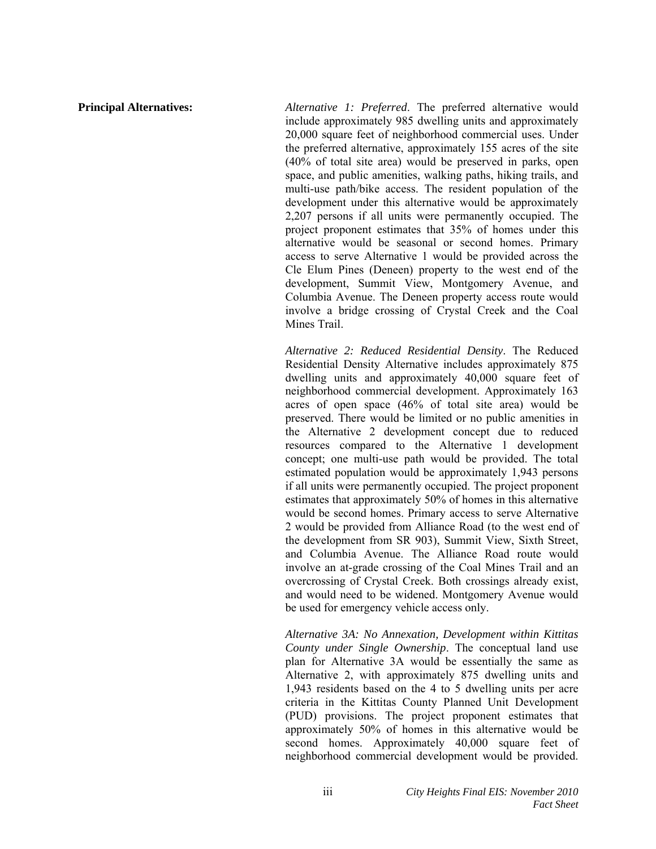**Principal Alternatives:** *Alternative 1: Preferred*. The preferred alternative would include approximately 985 dwelling units and approximately 20,000 square feet of neighborhood commercial uses. Under the preferred alternative, approximately 155 acres of the site (40% of total site area) would be preserved in parks, open space, and public amenities, walking paths, hiking trails, and multi-use path/bike access. The resident population of the development under this alternative would be approximately 2,207 persons if all units were permanently occupied. The project proponent estimates that 35% of homes under this alternative would be seasonal or second homes. Primary access to serve Alternative 1 would be provided across the Cle Elum Pines (Deneen) property to the west end of the development, Summit View, Montgomery Avenue, and Columbia Avenue. The Deneen property access route would involve a bridge crossing of Crystal Creek and the Coal Mines Trail.

> *Alternative 2: Reduced Residential Density*. The Reduced Residential Density Alternative includes approximately 875 dwelling units and approximately 40,000 square feet of neighborhood commercial development. Approximately 163 acres of open space (46% of total site area) would be preserved. There would be limited or no public amenities in the Alternative 2 development concept due to reduced resources compared to the Alternative 1 development concept; one multi-use path would be provided. The total estimated population would be approximately 1,943 persons if all units were permanently occupied. The project proponent estimates that approximately 50% of homes in this alternative would be second homes. Primary access to serve Alternative 2 would be provided from Alliance Road (to the west end of the development from SR 903), Summit View, Sixth Street, and Columbia Avenue. The Alliance Road route would involve an at-grade crossing of the Coal Mines Trail and an overcrossing of Crystal Creek. Both crossings already exist, and would need to be widened. Montgomery Avenue would be used for emergency vehicle access only.

> *Alternative 3A: No Annexation, Development within Kittitas County under Single Ownership*. The conceptual land use plan for Alternative 3A would be essentially the same as Alternative 2, with approximately 875 dwelling units and 1,943 residents based on the 4 to 5 dwelling units per acre criteria in the Kittitas County Planned Unit Development (PUD) provisions. The project proponent estimates that approximately 50% of homes in this alternative would be second homes. Approximately 40,000 square feet of neighborhood commercial development would be provided.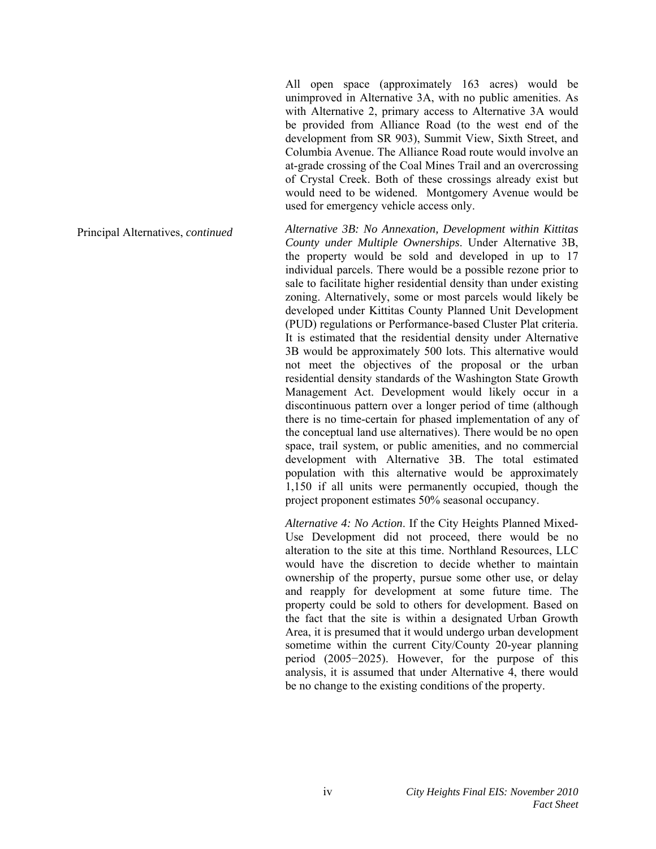All open space (approximately 163 acres) would be unimproved in Alternative 3A, with no public amenities. As with Alternative 2, primary access to Alternative 3A would be provided from Alliance Road (to the west end of the development from SR 903), Summit View, Sixth Street, and Columbia Avenue. The Alliance Road route would involve an at-grade crossing of the Coal Mines Trail and an overcrossing of Crystal Creek. Both of these crossings already exist but would need to be widened. Montgomery Avenue would be used for emergency vehicle access only.

Principal Alternatives, *continued Alternative 3B: No Annexation, Development within Kittitas County under Multiple Ownerships*. Under Alternative 3B, the property would be sold and developed in up to 17 individual parcels. There would be a possible rezone prior to sale to facilitate higher residential density than under existing zoning. Alternatively, some or most parcels would likely be developed under Kittitas County Planned Unit Development (PUD) regulations or Performance-based Cluster Plat criteria. It is estimated that the residential density under Alternative 3B would be approximately 500 lots. This alternative would not meet the objectives of the proposal or the urban residential density standards of the Washington State Growth Management Act. Development would likely occur in a discontinuous pattern over a longer period of time (although there is no time-certain for phased implementation of any of the conceptual land use alternatives). There would be no open space, trail system, or public amenities, and no commercial development with Alternative 3B. The total estimated population with this alternative would be approximately 1,150 if all units were permanently occupied, though the project proponent estimates 50% seasonal occupancy.

> *Alternative 4: No Action*. If the City Heights Planned Mixed-Use Development did not proceed, there would be no alteration to the site at this time. Northland Resources, LLC would have the discretion to decide whether to maintain ownership of the property, pursue some other use, or delay and reapply for development at some future time. The property could be sold to others for development. Based on the fact that the site is within a designated Urban Growth Area, it is presumed that it would undergo urban development sometime within the current City/County 20-year planning period (2005−2025). However, for the purpose of this analysis, it is assumed that under Alternative 4, there would be no change to the existing conditions of the property.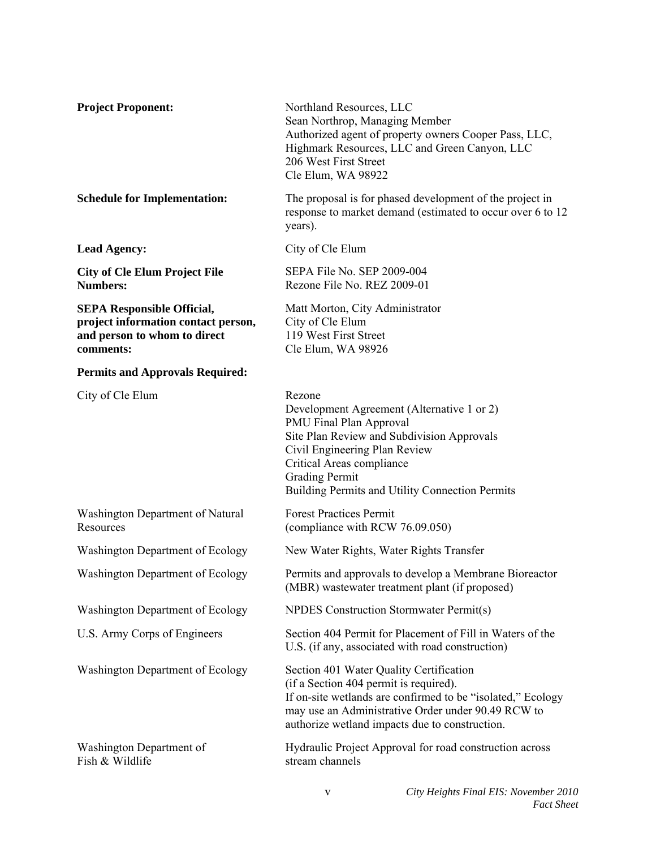| <b>Project Proponent:</b>                                                                                             | Northland Resources, LLC<br>Sean Northrop, Managing Member<br>Authorized agent of property owners Cooper Pass, LLC,<br>Highmark Resources, LLC and Green Canyon, LLC<br>206 West First Street<br>Cle Elum, WA 98922                                                     |
|-----------------------------------------------------------------------------------------------------------------------|-------------------------------------------------------------------------------------------------------------------------------------------------------------------------------------------------------------------------------------------------------------------------|
| <b>Schedule for Implementation:</b>                                                                                   | The proposal is for phased development of the project in<br>response to market demand (estimated to occur over 6 to 12)<br>years).                                                                                                                                      |
| <b>Lead Agency:</b>                                                                                                   | City of Cle Elum                                                                                                                                                                                                                                                        |
| <b>City of Cle Elum Project File</b><br><b>Numbers:</b>                                                               | SEPA File No. SEP 2009-004<br>Rezone File No. REZ 2009-01                                                                                                                                                                                                               |
| <b>SEPA Responsible Official,</b><br>project information contact person,<br>and person to whom to direct<br>comments: | Matt Morton, City Administrator<br>City of Cle Elum<br>119 West First Street<br>Cle Elum, WA 98926                                                                                                                                                                      |
| <b>Permits and Approvals Required:</b>                                                                                |                                                                                                                                                                                                                                                                         |
| City of Cle Elum                                                                                                      | Rezone<br>Development Agreement (Alternative 1 or 2)<br>PMU Final Plan Approval<br>Site Plan Review and Subdivision Approvals<br>Civil Engineering Plan Review<br>Critical Areas compliance<br><b>Grading Permit</b><br>Building Permits and Utility Connection Permits |
| Washington Department of Natural<br>Resources                                                                         | <b>Forest Practices Permit</b><br>(compliance with RCW 76.09.050)                                                                                                                                                                                                       |
| Washington Department of Ecology                                                                                      | New Water Rights, Water Rights Transfer                                                                                                                                                                                                                                 |
| <b>Washington Department of Ecology</b>                                                                               | Permits and approvals to develop a Membrane Bioreactor<br>(MBR) wastewater treatment plant (if proposed)                                                                                                                                                                |
| Washington Department of Ecology                                                                                      | NPDES Construction Stormwater Permit(s)                                                                                                                                                                                                                                 |
| U.S. Army Corps of Engineers                                                                                          | Section 404 Permit for Placement of Fill in Waters of the<br>U.S. (if any, associated with road construction)                                                                                                                                                           |
| Washington Department of Ecology                                                                                      | Section 401 Water Quality Certification<br>(if a Section 404 permit is required).<br>If on-site wetlands are confirmed to be "isolated," Ecology<br>may use an Administrative Order under 90.49 RCW to<br>authorize wetland impacts due to construction.                |
| Washington Department of<br>Fish & Wildlife                                                                           | Hydraulic Project Approval for road construction across<br>stream channels                                                                                                                                                                                              |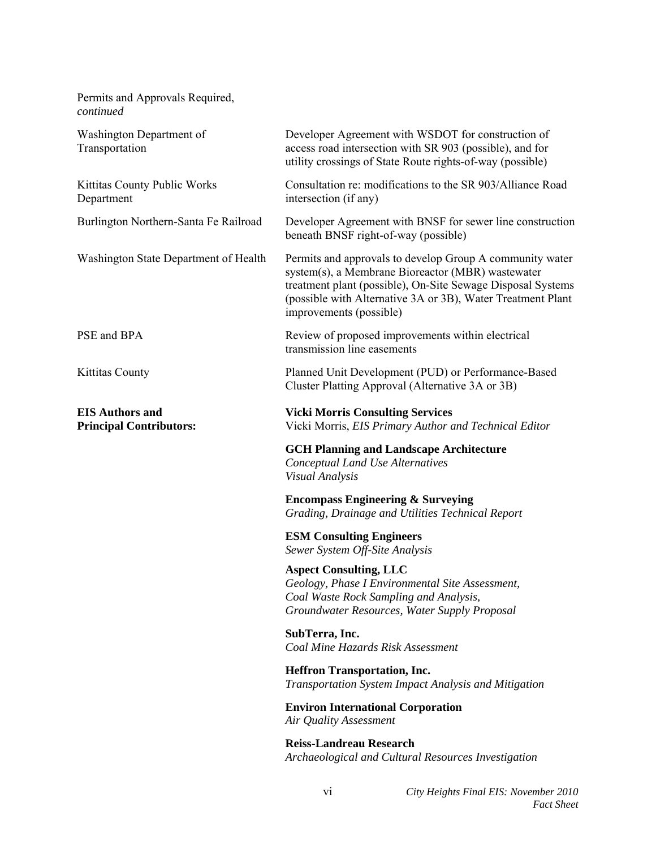| Permits and Approvals Required,<br>continued             |                                                                                                                                                                                                                                                                        |
|----------------------------------------------------------|------------------------------------------------------------------------------------------------------------------------------------------------------------------------------------------------------------------------------------------------------------------------|
| Washington Department of<br>Transportation               | Developer Agreement with WSDOT for construction of<br>access road intersection with SR 903 (possible), and for<br>utility crossings of State Route rights-of-way (possible)                                                                                            |
| Kittitas County Public Works<br>Department               | Consultation re: modifications to the SR 903/Alliance Road<br>intersection (if any)                                                                                                                                                                                    |
| Burlington Northern-Santa Fe Railroad                    | Developer Agreement with BNSF for sewer line construction<br>beneath BNSF right-of-way (possible)                                                                                                                                                                      |
| Washington State Department of Health                    | Permits and approvals to develop Group A community water<br>system(s), a Membrane Bioreactor (MBR) wastewater<br>treatment plant (possible), On-Site Sewage Disposal Systems<br>(possible with Alternative 3A or 3B), Water Treatment Plant<br>improvements (possible) |
| PSE and BPA                                              | Review of proposed improvements within electrical<br>transmission line easements                                                                                                                                                                                       |
| <b>Kittitas County</b>                                   | Planned Unit Development (PUD) or Performance-Based<br>Cluster Platting Approval (Alternative 3A or 3B)                                                                                                                                                                |
| <b>EIS Authors and</b><br><b>Principal Contributors:</b> | <b>Vicki Morris Consulting Services</b><br>Vicki Morris, EIS Primary Author and Technical Editor                                                                                                                                                                       |
|                                                          | <b>GCH Planning and Landscape Architecture</b><br>Conceptual Land Use Alternatives<br>Visual Analysis                                                                                                                                                                  |
|                                                          | <b>Encompass Engineering &amp; Surveying</b><br>Grading, Drainage and Utilities Technical Report                                                                                                                                                                       |
|                                                          | <b>ESM Consulting Engineers</b><br>Sewer System Off-Site Analysis                                                                                                                                                                                                      |
|                                                          | <b>Aspect Consulting, LLC</b><br>Geology, Phase I Environmental Site Assessment,<br>Coal Waste Rock Sampling and Analysis,<br>Groundwater Resources, Water Supply Proposal                                                                                             |
|                                                          | SubTerra, Inc.<br>Coal Mine Hazards Risk Assessment                                                                                                                                                                                                                    |
|                                                          | <b>Heffron Transportation, Inc.</b><br>Transportation System Impact Analysis and Mitigation                                                                                                                                                                            |
|                                                          | <b>Environ International Corporation</b><br>Air Quality Assessment                                                                                                                                                                                                     |
|                                                          | <b>Reiss-Landreau Research</b><br>Archaeological and Cultural Resources Investigation                                                                                                                                                                                  |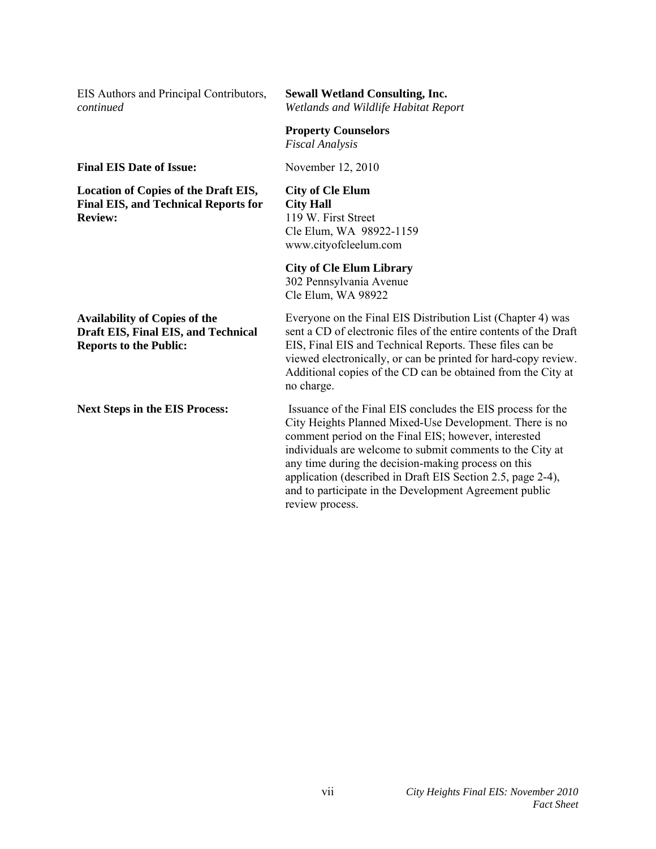| EIS Authors and Principal Contributors,<br>continued                                                                | <b>Sewall Wetland Consulting, Inc.</b><br>Wetlands and Wildlife Habitat Report                                                                                                                                                                                                                                                                                                                                                                 |  |
|---------------------------------------------------------------------------------------------------------------------|------------------------------------------------------------------------------------------------------------------------------------------------------------------------------------------------------------------------------------------------------------------------------------------------------------------------------------------------------------------------------------------------------------------------------------------------|--|
|                                                                                                                     | <b>Property Counselors</b><br><b>Fiscal Analysis</b>                                                                                                                                                                                                                                                                                                                                                                                           |  |
| <b>Final EIS Date of Issue:</b>                                                                                     | November 12, 2010                                                                                                                                                                                                                                                                                                                                                                                                                              |  |
| <b>Location of Copies of the Draft EIS,</b><br><b>Final EIS, and Technical Reports for</b><br><b>Review:</b>        | <b>City of Cle Elum</b><br><b>City Hall</b><br>119 W. First Street<br>Cle Elum, WA 98922-1159<br>www.cityofcleelum.com                                                                                                                                                                                                                                                                                                                         |  |
|                                                                                                                     | <b>City of Cle Elum Library</b><br>302 Pennsylvania Avenue<br>Cle Elum, WA 98922                                                                                                                                                                                                                                                                                                                                                               |  |
| <b>Availability of Copies of the</b><br><b>Draft EIS, Final EIS, and Technical</b><br><b>Reports to the Public:</b> | Everyone on the Final EIS Distribution List (Chapter 4) was<br>sent a CD of electronic files of the entire contents of the Draft<br>EIS, Final EIS and Technical Reports. These files can be<br>viewed electronically, or can be printed for hard-copy review.<br>Additional copies of the CD can be obtained from the City at<br>no charge.                                                                                                   |  |
| <b>Next Steps in the EIS Process:</b>                                                                               | Issuance of the Final EIS concludes the EIS process for the<br>City Heights Planned Mixed-Use Development. There is no<br>comment period on the Final EIS; however, interested<br>individuals are welcome to submit comments to the City at<br>any time during the decision-making process on this<br>application (described in Draft EIS Section 2.5, page 2-4),<br>and to participate in the Development Agreement public<br>review process. |  |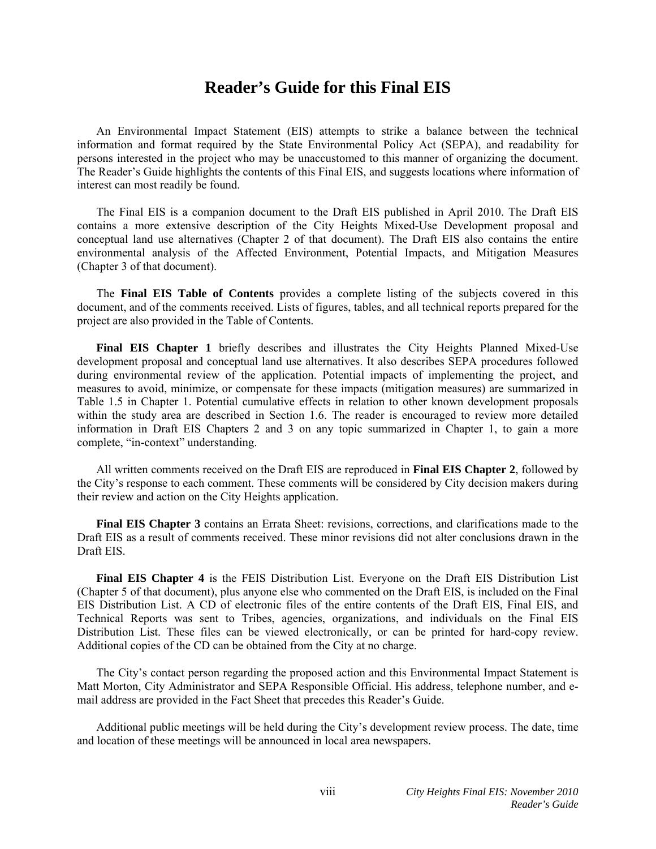## **Reader's Guide for this Final EIS**

 An Environmental Impact Statement (EIS) attempts to strike a balance between the technical information and format required by the State Environmental Policy Act (SEPA), and readability for persons interested in the project who may be unaccustomed to this manner of organizing the document. The Reader's Guide highlights the contents of this Final EIS, and suggests locations where information of interest can most readily be found.

 The Final EIS is a companion document to the Draft EIS published in April 2010. The Draft EIS contains a more extensive description of the City Heights Mixed-Use Development proposal and conceptual land use alternatives (Chapter 2 of that document). The Draft EIS also contains the entire environmental analysis of the Affected Environment, Potential Impacts, and Mitigation Measures (Chapter 3 of that document).

 The **Final EIS Table of Contents** provides a complete listing of the subjects covered in this document, and of the comments received. Lists of figures, tables, and all technical reports prepared for the project are also provided in the Table of Contents.

**Final EIS Chapter 1** briefly describes and illustrates the City Heights Planned Mixed-Use development proposal and conceptual land use alternatives. It also describes SEPA procedures followed during environmental review of the application. Potential impacts of implementing the project, and measures to avoid, minimize, or compensate for these impacts (mitigation measures) are summarized in Table 1.5 in Chapter 1. Potential cumulative effects in relation to other known development proposals within the study area are described in Section 1.6. The reader is encouraged to review more detailed information in Draft EIS Chapters 2 and 3 on any topic summarized in Chapter 1, to gain a more complete, "in-context" understanding.

 All written comments received on the Draft EIS are reproduced in **Final EIS Chapter 2**, followed by the City's response to each comment. These comments will be considered by City decision makers during their review and action on the City Heights application.

**Final EIS Chapter 3** contains an Errata Sheet: revisions, corrections, and clarifications made to the Draft EIS as a result of comments received. These minor revisions did not alter conclusions drawn in the Draft EIS.

 **Final EIS Chapter 4** is the FEIS Distribution List. Everyone on the Draft EIS Distribution List (Chapter 5 of that document), plus anyone else who commented on the Draft EIS, is included on the Final EIS Distribution List. A CD of electronic files of the entire contents of the Draft EIS, Final EIS, and Technical Reports was sent to Tribes, agencies, organizations, and individuals on the Final EIS Distribution List. These files can be viewed electronically, or can be printed for hard-copy review. Additional copies of the CD can be obtained from the City at no charge.

 The City's contact person regarding the proposed action and this Environmental Impact Statement is Matt Morton, City Administrator and SEPA Responsible Official. His address, telephone number, and email address are provided in the Fact Sheet that precedes this Reader's Guide.

 Additional public meetings will be held during the City's development review process. The date, time and location of these meetings will be announced in local area newspapers.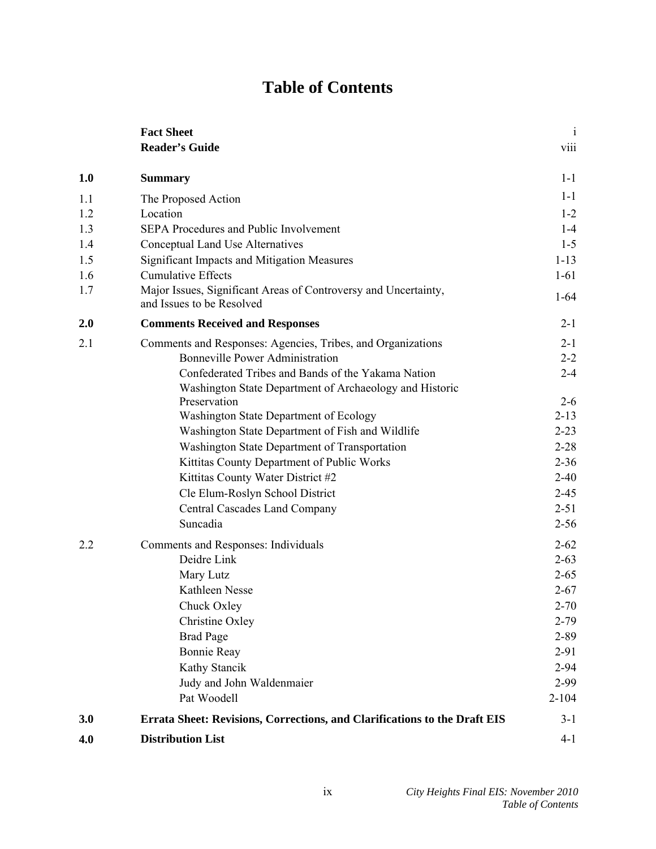# **Table of Contents**

|            | <b>Fact Sheet</b><br><b>Reader's Guide</b>                                                                    | $\mathbf{i}$<br>viii |
|------------|---------------------------------------------------------------------------------------------------------------|----------------------|
| 1.0        | <b>Summary</b>                                                                                                | $1 - 1$              |
| 1.1        | The Proposed Action                                                                                           | $1 - 1$              |
| 1.2        | Location                                                                                                      | $1 - 2$              |
| 1.3        | SEPA Procedures and Public Involvement                                                                        | $1-4$                |
| 1.4        | Conceptual Land Use Alternatives                                                                              | $1 - 5$              |
| 1.5        | <b>Significant Impacts and Mitigation Measures</b>                                                            | $1 - 13$             |
| 1.6        | <b>Cumulative Effects</b>                                                                                     | $1 - 61$             |
| 1.7        | Major Issues, Significant Areas of Controversy and Uncertainty,<br>and Issues to be Resolved                  | $1 - 64$             |
| 2.0        | <b>Comments Received and Responses</b>                                                                        | $2 - 1$              |
| 2.1        | Comments and Responses: Agencies, Tribes, and Organizations                                                   | $2 - 1$              |
|            | <b>Bonneville Power Administration</b>                                                                        | $2 - 2$              |
|            | Confederated Tribes and Bands of the Yakama Nation<br>Washington State Department of Archaeology and Historic | $2 - 4$              |
|            | Preservation                                                                                                  | $2 - 6$              |
|            | Washington State Department of Ecology                                                                        | $2 - 13$             |
|            | Washington State Department of Fish and Wildlife                                                              | $2 - 23$             |
|            | Washington State Department of Transportation                                                                 | $2 - 28$             |
|            | Kittitas County Department of Public Works                                                                    | $2 - 36$             |
|            | Kittitas County Water District #2                                                                             | $2 - 40$             |
|            | Cle Elum-Roslyn School District                                                                               | $2 - 45$             |
|            | Central Cascades Land Company                                                                                 | $2 - 51$             |
|            | Suncadia                                                                                                      | $2 - 56$             |
| 2.2        | Comments and Responses: Individuals                                                                           | $2 - 62$             |
|            | Deidre Link                                                                                                   | $2 - 63$             |
|            | Mary Lutz                                                                                                     | $2 - 65$             |
|            | Kathleen Nesse                                                                                                | $2 - 67$             |
|            | Chuck Oxley                                                                                                   | $2 - 70$             |
|            | Christine Oxley                                                                                               | $2 - 79$             |
|            | <b>Brad Page</b>                                                                                              | $2 - 89$             |
|            | <b>Bonnie Reay</b>                                                                                            | $2 - 91$             |
|            | Kathy Stancik                                                                                                 | $2 - 94$             |
|            | Judy and John Waldenmaier                                                                                     | 2-99                 |
|            | Pat Woodell                                                                                                   | $2 - 104$            |
| 3.0<br>4.0 | Errata Sheet: Revisions, Corrections, and Clarifications to the Draft EIS<br><b>Distribution List</b>         | $3-1$<br>$4 - 1$     |
|            |                                                                                                               |                      |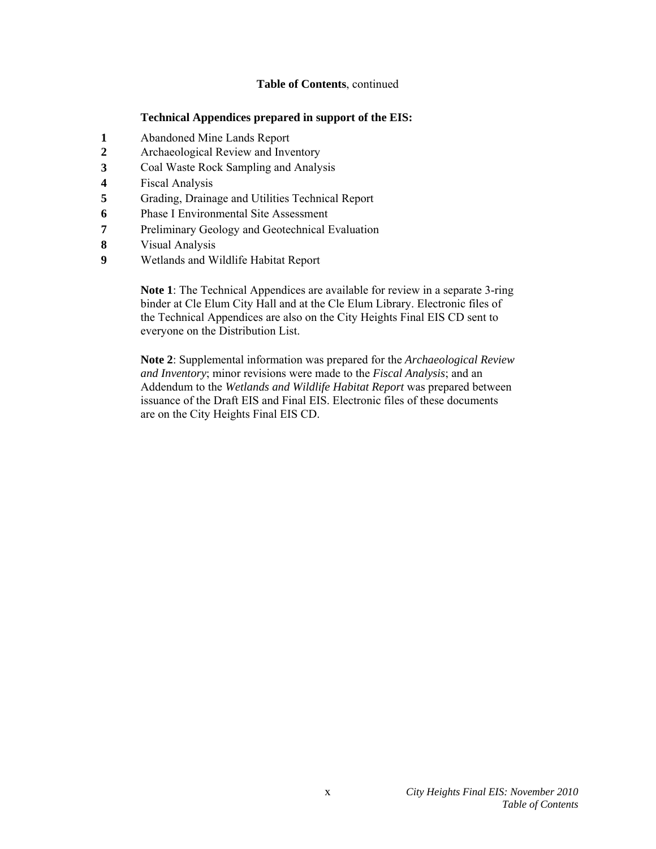### **Table of Contents**, continued

### **Technical Appendices prepared in support of the EIS:**

- **1** Abandoned Mine Lands Report
- **2** Archaeological Review and Inventory
- **3** Coal Waste Rock Sampling and Analysis
- **4** Fiscal Analysis
- **5** Grading, Drainage and Utilities Technical Report
- **6** Phase I Environmental Site Assessment
- **7** Preliminary Geology and Geotechnical Evaluation
- **8** Visual Analysis
- **9** Wetlands and Wildlife Habitat Report

**Note 1**: The Technical Appendices are available for review in a separate 3-ring binder at Cle Elum City Hall and at the Cle Elum Library. Electronic files of the Technical Appendices are also on the City Heights Final EIS CD sent to everyone on the Distribution List.

**Note 2**: Supplemental information was prepared for the *Archaeological Review and Inventory*; minor revisions were made to the *Fiscal Analysis*; and an Addendum to the *Wetlands and Wildlife Habitat Report* was prepared between issuance of the Draft EIS and Final EIS. Electronic files of these documents are on the City Heights Final EIS CD.